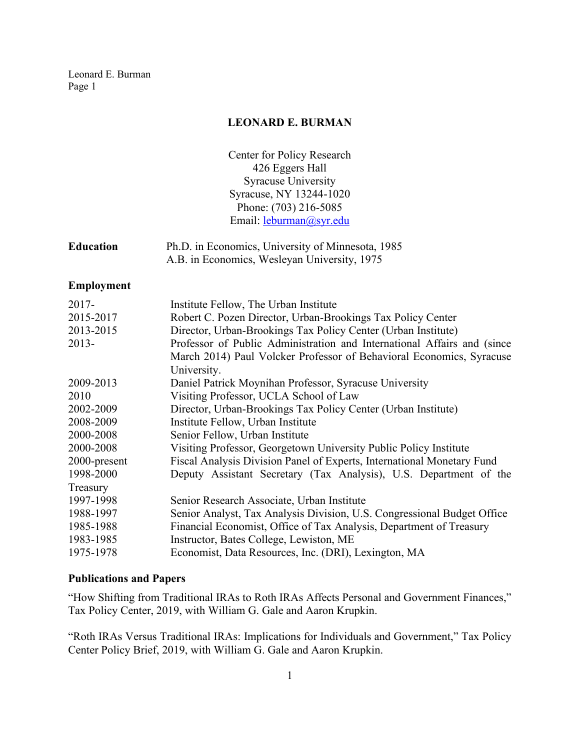## **LEONARD E. BURMAN**

Center for Policy Research 426 Eggers Hall Syracuse University Syracuse, NY 13244-1020 Phone: (703) 216-5085 Email: [leburman@syr.edu](mailto:leburman@syr.edu)

| <b>Education</b> | Ph.D. in Economics, University of Minnesota, 1985 |
|------------------|---------------------------------------------------|
|                  | A.B. in Economics, Wesleyan University, 1975      |

#### **Employment**

| $2017 -$     | Institute Fellow, The Urban Institute                                   |
|--------------|-------------------------------------------------------------------------|
| 2015-2017    | Robert C. Pozen Director, Urban-Brookings Tax Policy Center             |
| 2013-2015    | Director, Urban-Brookings Tax Policy Center (Urban Institute)           |
| $2013 -$     | Professor of Public Administration and International Affairs and (since |
|              | March 2014) Paul Volcker Professor of Behavioral Economics, Syracuse    |
|              | University.                                                             |
| 2009-2013    | Daniel Patrick Moynihan Professor, Syracuse University                  |
| 2010         | Visiting Professor, UCLA School of Law                                  |
| 2002-2009    | Director, Urban-Brookings Tax Policy Center (Urban Institute)           |
| 2008-2009    | Institute Fellow, Urban Institute                                       |
| 2000-2008    | Senior Fellow, Urban Institute                                          |
| 2000-2008    | Visiting Professor, Georgetown University Public Policy Institute       |
| 2000-present | Fiscal Analysis Division Panel of Experts, International Monetary Fund  |
| 1998-2000    | Deputy Assistant Secretary (Tax Analysis), U.S. Department of the       |
| Treasury     |                                                                         |
| 1997-1998    | Senior Research Associate, Urban Institute                              |
| 1988-1997    | Senior Analyst, Tax Analysis Division, U.S. Congressional Budget Office |
| 1985-1988    | Financial Economist, Office of Tax Analysis, Department of Treasury     |
| 1983-1985    | Instructor, Bates College, Lewiston, ME                                 |
| 1975-1978    | Economist, Data Resources, Inc. (DRI), Lexington, MA                    |
|              |                                                                         |

### **Publications and Papers**

"How Shifting from Traditional IRAs to Roth IRAs Affects Personal and Government Finances," Tax Policy Center, 2019, with William G. Gale and Aaron Krupkin.

"Roth IRAs Versus Traditional IRAs: Implications for Individuals and Government," Tax Policy Center Policy Brief, 2019, with William G. Gale and Aaron Krupkin.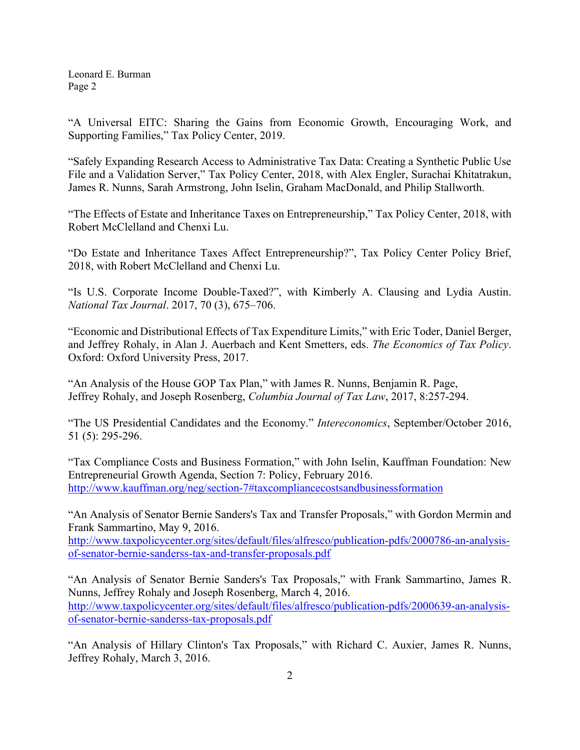"A Universal EITC: Sharing the Gains from Economic Growth, Encouraging Work, and Supporting Families," Tax Policy Center, 2019.

"Safely Expanding Research Access to Administrative Tax Data: Creating a Synthetic Public Use File and a Validation Server," Tax Policy Center, 2018, with Alex Engler, Surachai Khitatrakun, James R. Nunns, Sarah Armstrong, John Iselin, Graham MacDonald, and Philip Stallworth.

"The Effects of Estate and Inheritance Taxes on Entrepreneurship," Tax Policy Center, 2018, with Robert McClelland and Chenxi Lu.

"Do Estate and Inheritance Taxes Affect Entrepreneurship?", Tax Policy Center Policy Brief, 2018, with Robert McClelland and Chenxi Lu.

"Is U.S. Corporate Income Double-Taxed?", with Kimberly A. Clausing and Lydia Austin. *National Tax Journal*. 2017, 70 (3), 675–706.

"Economic and Distributional Effects of Tax Expenditure Limits," with Eric Toder, Daniel Berger, and Jeffrey Rohaly, in Alan J. Auerbach and Kent Smetters, eds. *The Economics of Tax Policy*. Oxford: Oxford University Press, 2017.

"An Analysis of the House GOP Tax Plan," with James R. Nunns, Benjamin R. Page, Jeffrey Rohaly, and Joseph Rosenberg, *Columbia Journal of Tax Law*, 2017, 8:257-294.

"The US Presidential Candidates and the Economy." *Intereconomics*, September/October 2016, 51 (5): 295-296.

"Tax Compliance Costs and Business Formation," with John Iselin, Kauffman Foundation: New Entrepreneurial Growth Agenda, Section 7: Policy, February 2016. <http://www.kauffman.org/neg/section-7#taxcompliancecostsandbusinessformation>

"An Analysis of Senator Bernie Sanders's Tax and Transfer Proposals," with Gordon Mermin and Frank Sammartino, May 9, 2016.

[http://www.taxpolicycenter.org/sites/default/files/alfresco/publication-pdfs/2000786-an-analysis](http://www.taxpolicycenter.org/sites/default/files/alfresco/publication-pdfs/2000786-an-analysis-of-senator-bernie-sanderss-tax-and-transfer-proposals.pdf)[of-senator-bernie-sanderss-tax-and-transfer-proposals.pdf](http://www.taxpolicycenter.org/sites/default/files/alfresco/publication-pdfs/2000786-an-analysis-of-senator-bernie-sanderss-tax-and-transfer-proposals.pdf)

"An Analysis of Senator Bernie Sanders's Tax Proposals," with Frank Sammartino, James R. Nunns, Jeffrey Rohaly and Joseph Rosenberg, March 4, 2016. [http://www.taxpolicycenter.org/sites/default/files/alfresco/publication-pdfs/2000639-an-analysis](http://www.taxpolicycenter.org/sites/default/files/alfresco/publication-pdfs/2000639-an-analysis-of-senator-bernie-sanderss-tax-proposals.pdf)[of-senator-bernie-sanderss-tax-proposals.pdf](http://www.taxpolicycenter.org/sites/default/files/alfresco/publication-pdfs/2000639-an-analysis-of-senator-bernie-sanderss-tax-proposals.pdf)

"An Analysis of Hillary Clinton's Tax Proposals," with Richard C. Auxier, James R. Nunns, Jeffrey Rohaly, March 3, 2016.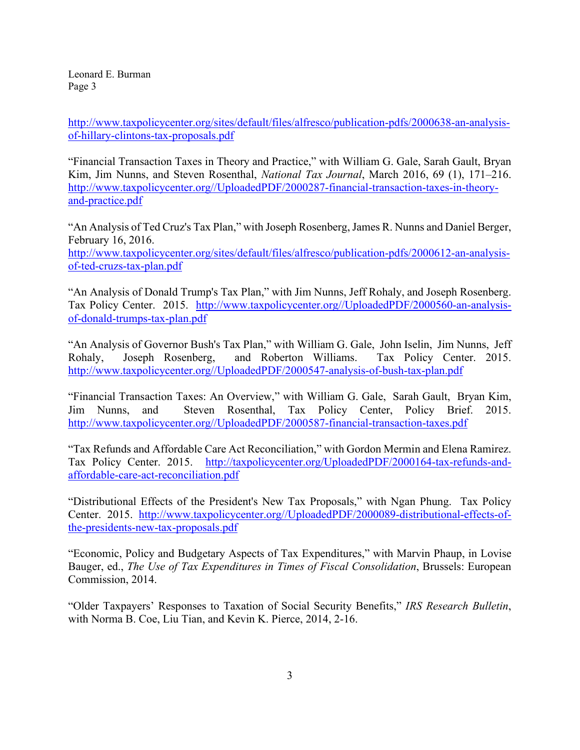[http://www.taxpolicycenter.org/sites/default/files/alfresco/publication-pdfs/2000638-an-analysis](http://www.taxpolicycenter.org/sites/default/files/alfresco/publication-pdfs/2000638-an-analysis-of-hillary-clintons-tax-proposals.pdf)[of-hillary-clintons-tax-proposals.pdf](http://www.taxpolicycenter.org/sites/default/files/alfresco/publication-pdfs/2000638-an-analysis-of-hillary-clintons-tax-proposals.pdf)

"Financial Transaction Taxes in Theory and Practice," with William G. Gale, Sarah Gault, Bryan Kim, Jim Nunns, and Steven Rosenthal, *National Tax Journal*, March 2016, 69 (1), 171–216. [http://www.taxpolicycenter.org//UploadedPDF/2000287-financial-transaction-taxes-in-theory](http://www.taxpolicycenter.org/UploadedPDF/2000287-financial-transaction-taxes-in-theory-and-practice.pdf)[and-practice.pdf](http://www.taxpolicycenter.org/UploadedPDF/2000287-financial-transaction-taxes-in-theory-and-practice.pdf)

"An Analysis of Ted Cruz's Tax Plan," with Joseph Rosenberg, James R. Nunns and Daniel Berger, February 16, 2016. [http://www.taxpolicycenter.org/sites/default/files/alfresco/publication-pdfs/2000612-an-analysis](http://www.taxpolicycenter.org/sites/default/files/alfresco/publication-pdfs/2000612-an-analysis-of-ted-cruzs-tax-plan.pdf)[of-ted-cruzs-tax-plan.pdf](http://www.taxpolicycenter.org/sites/default/files/alfresco/publication-pdfs/2000612-an-analysis-of-ted-cruzs-tax-plan.pdf)

"An Analysis of Donald Trump's Tax Plan," with Jim Nunns, Jeff Rohaly, and Joseph Rosenberg. Tax Policy Center. 2015. [http://www.taxpolicycenter.org//UploadedPDF/2000560-an-analysis](http://www.taxpolicycenter.org/UploadedPDF/2000560-an-analysis-of-donald-trumps-tax-plan.pdf)[of-donald-trumps-tax-plan.pdf](http://www.taxpolicycenter.org/UploadedPDF/2000560-an-analysis-of-donald-trumps-tax-plan.pdf)

"An Analysis of Governor Bush's Tax Plan," with William G. Gale, John Iselin, Jim Nunns, Jeff Rohaly, Joseph Rosenberg, and Roberton Williams. Tax Policy Center. 2015. [http://www.taxpolicycenter.org//UploadedPDF/2000547-analysis-of-bush-tax-plan.pdf](http://www.taxpolicycenter.org/UploadedPDF/2000547-analysis-of-bush-tax-plan.pdf)

"Financial Transaction Taxes: An Overview," with William G. Gale, Sarah Gault, Bryan Kim, Jim Nunns, and Steven Rosenthal, Tax Policy Center, Policy Brief. 2015. [http://www.taxpolicycenter.org//UploadedPDF/2000587-financial-transaction-taxes.pdf](http://www.taxpolicycenter.org/UploadedPDF/2000587-financial-transaction-taxes.pdf)

"Tax Refunds and Affordable Care Act Reconciliation," with Gordon Mermin and Elena Ramirez. Tax Policy Center. 2015. [http://taxpolicycenter.org/UploadedPDF/2000164-tax-refunds-and](http://taxpolicycenter.org/UploadedPDF/2000164-tax-refunds-and-affordable-care-act-reconciliation.pdf)[affordable-care-act-reconciliation.pdf](http://taxpolicycenter.org/UploadedPDF/2000164-tax-refunds-and-affordable-care-act-reconciliation.pdf)

"Distributional Effects of the President's New Tax Proposals," with Ngan Phung. Tax Policy Center. 2015. [http://www.taxpolicycenter.org//UploadedPDF/2000089-distributional-effects-of](http://www.taxpolicycenter.org/UploadedPDF/2000089-distributional-effects-of-the-presidents-new-tax-proposals.pdf)[the-presidents-new-tax-proposals.pdf](http://www.taxpolicycenter.org/UploadedPDF/2000089-distributional-effects-of-the-presidents-new-tax-proposals.pdf)

"Economic, Policy and Budgetary Aspects of Tax Expenditures," with Marvin Phaup, in Lovise Bauger, ed., *The Use of Tax Expenditures in Times of Fiscal Consolidation*, Brussels: European Commission, 2014.

"Older Taxpayers' Responses to Taxation of Social Security Benefits," *IRS Research Bulletin*, with Norma B. Coe, Liu Tian, and Kevin K. Pierce, 2014, 2-16.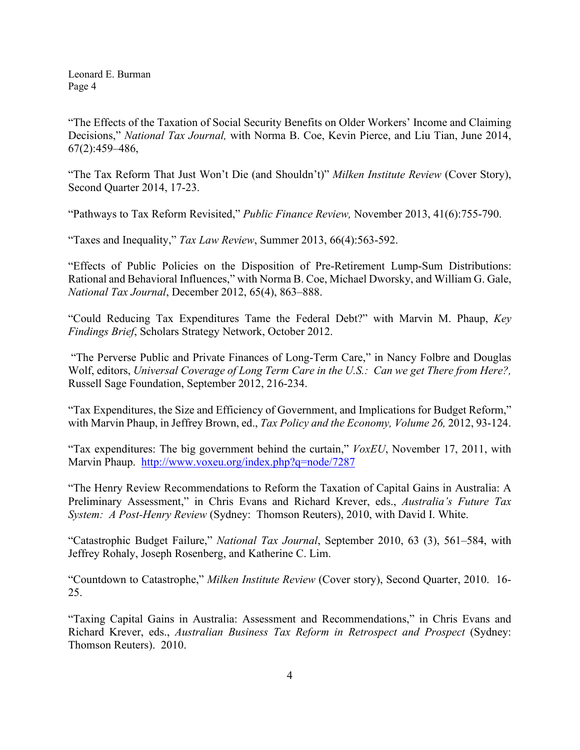"The Effects of the Taxation of Social Security Benefits on Older Workers' Income and Claiming Decisions," *National Tax Journal,* with Norma B. Coe, Kevin Pierce, and Liu Tian, June 2014, 67(2):459–486,

"The Tax Reform That Just Won't Die (and Shouldn't)" *Milken Institute Review* (Cover Story), Second Quarter 2014, 17-23.

"Pathways to Tax Reform Revisited," *Public Finance Review,* November 2013, 41(6):755-790.

"Taxes and Inequality," *Tax Law Review*, Summer 2013, 66(4):563-592.

"Effects of Public Policies on the Disposition of Pre-Retirement Lump-Sum Distributions: Rational and Behavioral Influences," with Norma B. Coe, Michael Dworsky, and William G. Gale, *National Tax Journal*, December 2012, 65(4), 863–888.

"Could Reducing Tax Expenditures Tame the Federal Debt?" with Marvin M. Phaup, *Key Findings Brief*, Scholars Strategy Network, October 2012.

"The Perverse Public and Private Finances of Long-Term Care," in Nancy Folbre and Douglas Wolf, editors, *Universal Coverage of Long Term Care in the U.S.: Can we get There from Here?,*  Russell Sage Foundation, September 2012, 216-234.

"Tax Expenditures, the Size and Efficiency of Government, and Implications for Budget Reform," with Marvin Phaup, in Jeffrey Brown, ed., *Tax Policy and the Economy, Volume 26,* 2012, 93-124.

"Tax expenditures: The big government behind the curtain," *VoxEU*, November 17, 2011, with Marvin Phaup. <http://www.voxeu.org/index.php?q=node/7287>

"The Henry Review Recommendations to Reform the Taxation of Capital Gains in Australia: A Preliminary Assessment," in Chris Evans and Richard Krever, eds., *Australia's Future Tax System: A Post-Henry Review* (Sydney: Thomson Reuters), 2010, with David I. White.

"Catastrophic Budget Failure," *National Tax Journal*, September 2010, 63 (3), 561–584, with Jeffrey Rohaly, Joseph Rosenberg, and Katherine C. Lim.

"Countdown to Catastrophe," *Milken Institute Review* (Cover story), Second Quarter, 2010. 16- 25.

"Taxing Capital Gains in Australia: Assessment and Recommendations," in Chris Evans and Richard Krever, eds., *Australian Business Tax Reform in Retrospect and Prospect* (Sydney: Thomson Reuters). 2010.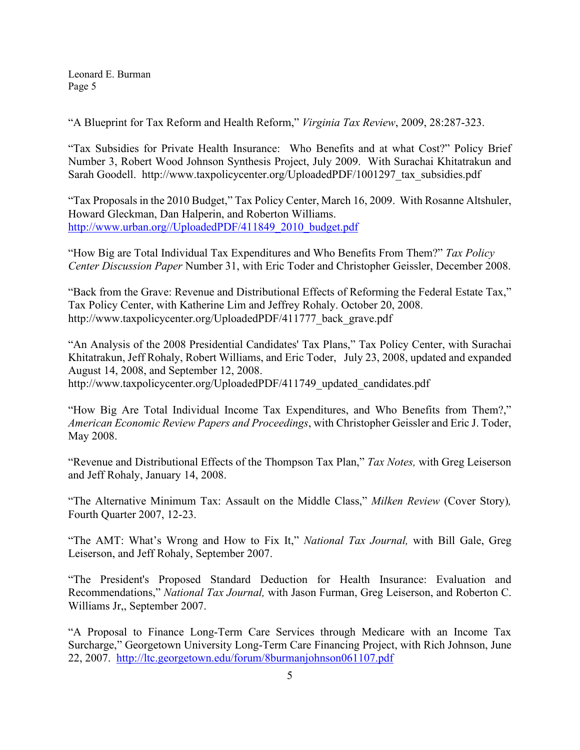"A Blueprint for Tax Reform and Health Reform," *Virginia Tax Review*, 2009, 28:287-323.

"Tax Subsidies for Private Health Insurance: Who Benefits and at what Cost?" Policy Brief Number 3, Robert Wood Johnson Synthesis Project, July 2009. With Surachai Khitatrakun and Sarah Goodell. http://www.taxpolicycenter.org/UploadedPDF/1001297 tax subsidies.pdf

"Tax Proposals in the 2010 Budget," Tax Policy Center, March 16, 2009. With Rosanne Altshuler, Howard Gleckman, Dan Halperin, and Roberton Williams. [http://www.urban.org//UploadedPDF/411849\\_2010\\_budget.pdf](http://www.urban.org/UploadedPDF/411849_2010_budget.pdf)

"How Big are Total Individual Tax Expenditures and Who Benefits From Them?" *Tax Policy Center Discussion Paper* Number 31, with Eric Toder and Christopher Geissler, December 2008.

"Back from the Grave: Revenue and Distributional Effects of Reforming the Federal Estate Tax," Tax Policy Center, with Katherine Lim and Jeffrey Rohaly. October 20, 2008. http://www.taxpolicycenter.org/UploadedPDF/411777\_back\_grave.pdf

"An Analysis of the 2008 Presidential Candidates' Tax Plans," Tax Policy Center, with [Surachai](http://www.taxpolicycenter.org/library/listpubs.cfm?ListAuthors=true&Listpubs=true&AuthorID=7701)  [Khitatrakun,](http://www.taxpolicycenter.org/library/listpubs.cfm?ListAuthors=true&Listpubs=true&AuthorID=7701) [Jeff Rohaly,](http://www.taxpolicycenter.org/library/listpubs.cfm?ListAuthors=true&Listpubs=true&AuthorID=7013) Robert Williams, and [Eric Toder,](http://www.taxpolicycenter.org/library/listpubs.cfm?ListAuthors=true&Listpubs=true&AuthorID=5902) July 23, 2008, updated and expanded August 14, 2008, and September 12, 2008. http://www.taxpolicycenter.org/UploadedPDF/411749 updated candidates.pdf

"How Big Are Total Individual Income Tax Expenditures, and Who Benefits from Them?," *American Economic Review Papers and Proceedings*, with Christopher Geissler and Eric J. Toder, May 2008.

"Revenue and Distributional Effects of the Thompson Tax Plan," *Tax Notes,* with Greg Leiserson and Jeff Rohaly, January 14, 2008.

"The Alternative Minimum Tax: Assault on the Middle Class," *Milken Review* (Cover Story)*,* Fourth Quarter 2007, 12-23.

"The AMT: What's Wrong and How to Fix It," *National Tax Journal,* with Bill Gale, Greg Leiserson, and Jeff Rohaly, September 2007.

"The President's Proposed Standard Deduction for Health Insurance: Evaluation and Recommendations," *National Tax Journal,* with Jason Furman, Greg Leiserson, and Roberton C. Williams Jr,, September 2007.

"A Proposal to Finance Long-Term Care Services through Medicare with an Income Tax Surcharge," Georgetown University Long-Term Care Financing Project, with Rich Johnson, June 22, 2007. <http://ltc.georgetown.edu/forum/8burmanjohnson061107.pdf>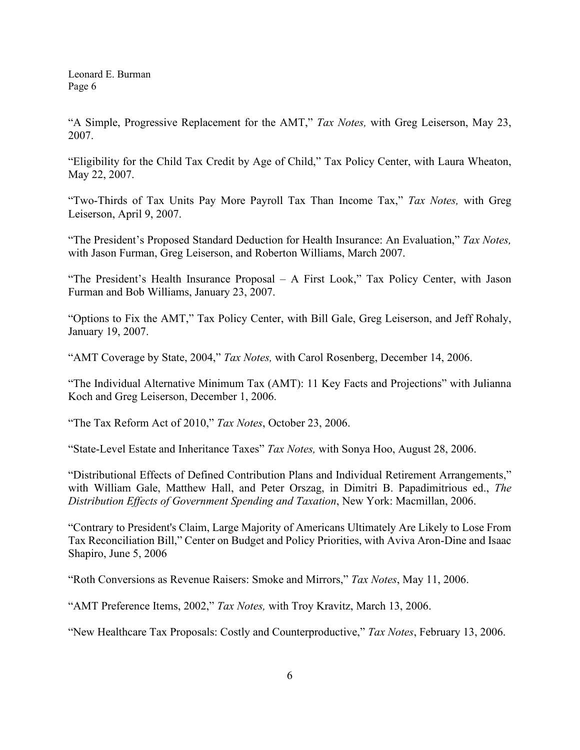"A Simple, Progressive Replacement for the AMT," *Tax Notes,* with Greg Leiserson, May 23, 2007.

"Eligibility for the Child Tax Credit by Age of Child," Tax Policy Center, with Laura Wheaton, May 22, 2007.

"Two-Thirds of Tax Units Pay More Payroll Tax Than Income Tax," *Tax Notes,* with Greg Leiserson, April 9, 2007.

"The President's Proposed Standard Deduction for Health Insurance: An Evaluation," *Tax Notes,*  with Jason Furman, Greg Leiserson, and Roberton Williams, March 2007.

"The President's Health Insurance Proposal – A First Look," Tax Policy Center, with Jason Furman and Bob Williams, January 23, 2007.

"Options to Fix the AMT," Tax Policy Center, with Bill Gale, Greg Leiserson, and Jeff Rohaly, January 19, 2007.

"AMT Coverage by State, 2004," *Tax Notes,* with Carol Rosenberg, December 14, 2006.

"The Individual Alternative Minimum Tax (AMT): 11 Key Facts and Projections" with Julianna Koch and Greg Leiserson, December 1, 2006.

"The Tax Reform Act of 2010," *Tax Notes*, October 23, 2006.

"State-Level Estate and Inheritance Taxes" *Tax Notes,* with Sonya Hoo, August 28, 2006.

"Distributional Effects of Defined Contribution Plans and Individual Retirement Arrangements," with William Gale, Matthew Hall, and Peter Orszag, in Dimitri B. Papadimitrious ed., *The Distribution Effects of Government Spending and Taxation*, New York: Macmillan, 2006.

"Contrary to President's Claim, Large Majority of Americans Ultimately Are Likely to Lose From Tax Reconciliation Bill," Center on Budget and Policy Priorities, with Aviva Aron-Dine and Isaac Shapiro, June 5, 2006

"Roth Conversions as Revenue Raisers: Smoke and Mirrors," *Tax Notes*, May 11, 2006.

"AMT Preference Items, 2002," *Tax Notes,* with Troy Kravitz, March 13, 2006.

"New Healthcare Tax Proposals: Costly and Counterproductive," *Tax Notes*, February 13, 2006.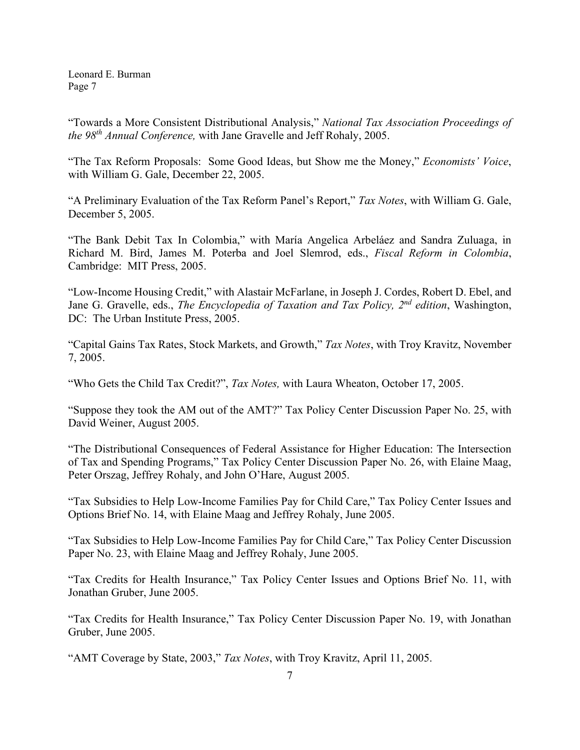"Towards a More Consistent Distributional Analysis," *National Tax Association Proceedings of the 98th Annual Conference,* with Jane Gravelle and Jeff Rohaly, 2005.

"The Tax Reform Proposals: Some Good Ideas, but Show me the Money," *Economists' Voice*, with William G. Gale, December 22, 2005.

"A Preliminary Evaluation of the Tax Reform Panel's Report," *Tax Notes*, with William G. Gale, December 5, 2005.

"The Bank Debit Tax In Colombia," with María Angelica Arbeláez and Sandra Zuluaga, in Richard M. Bird, James M. Poterba and Joel Slemrod, eds., *Fiscal Reform in Colombia*, Cambridge: MIT Press, 2005.

"Low-Income Housing Credit," with Alastair McFarlane, in Joseph J. Cordes, Robert D. Ebel, and Jane G. Gravelle, eds., *The Encyclopedia of Taxation and Tax Policy, 2nd edition*, Washington, DC: The Urban Institute Press, 2005.

"Capital Gains Tax Rates, Stock Markets, and Growth," *Tax Notes*, with Troy Kravitz, November 7, 2005.

"Who Gets the Child Tax Credit?", *Tax Notes,* with Laura Wheaton, October 17, 2005.

"Suppose they took the AM out of the AMT?" Tax Policy Center Discussion Paper No. 25, with David Weiner, August 2005.

"The Distributional Consequences of Federal Assistance for Higher Education: The Intersection of Tax and Spending Programs," Tax Policy Center Discussion Paper No. 26, with Elaine Maag, Peter Orszag, Jeffrey Rohaly, and John O'Hare, August 2005.

"Tax Subsidies to Help Low-Income Families Pay for Child Care," Tax Policy Center Issues and Options Brief No. 14, with Elaine Maag and Jeffrey Rohaly, June 2005.

"Tax Subsidies to Help Low-Income Families Pay for Child Care," Tax Policy Center Discussion Paper No. 23, with Elaine Maag and Jeffrey Rohaly, June 2005.

"Tax Credits for Health Insurance," Tax Policy Center Issues and Options Brief No. 11, with Jonathan Gruber, June 2005.

"Tax Credits for Health Insurance," Tax Policy Center Discussion Paper No. 19, with Jonathan Gruber, June 2005.

"AMT Coverage by State, 2003," *Tax Notes*, with Troy Kravitz, April 11, 2005.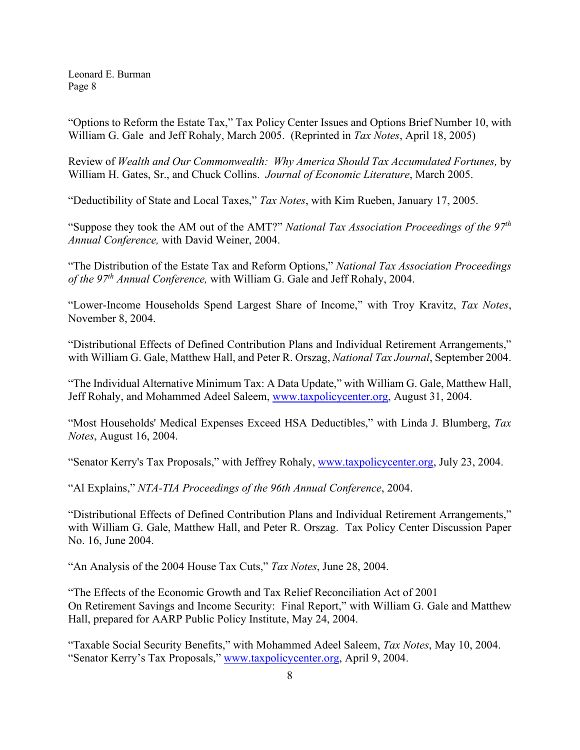"Options to Reform the Estate Tax," Tax Policy Center Issues and Options Brief Number 10, with William G. Gale and Jeff Rohaly, March 2005. (Reprinted in *Tax Notes*, April 18, 2005)

Review of *Wealth and Our Commonwealth: Why America Should Tax Accumulated Fortunes,* by William H. Gates, Sr., and Chuck Collins. *Journal of Economic Literature*, March 2005.

"Deductibility of State and Local Taxes," *Tax Notes*, with Kim Rueben, January 17, 2005.

"Suppose they took the AM out of the AMT?" *National Tax Association Proceedings of the 97th Annual Conference,* with David Weiner, 2004.

"The Distribution of the Estate Tax and Reform Options," *National Tax Association Proceedings of the 97th Annual Conference,* with William G. Gale and Jeff Rohaly, 2004.

"Lower-Income Households Spend Largest Share of Income," with Troy Kravitz, *Tax Notes*, November 8, 2004.

"Distributional Effects of Defined Contribution Plans and Individual Retirement Arrangements," with William G. Gale, Matthew Hall, and Peter R. Orszag, *National Tax Journal*, September 2004.

"The Individual Alternative Minimum Tax: A Data Update," with William G. Gale, Matthew Hall, Jeff Rohaly, and Mohammed Adeel Saleem, [www.taxpolicycenter.org,](http://www.taxpolicycenter.org/) August 31, 2004.

"Most Households' Medical Expenses Exceed HSA Deductibles," with Linda J. Blumberg, *Tax Notes*, August 16, 2004.

"Senator Kerry's Tax Proposals," with Jeffrey Rohaly, [www.taxpolicycenter.org,](http://www.taxpolicycenter.org/) July 23, 2004.

"Al Explains," *NTA-TIA Proceedings of the 96th Annual Conference*, 2004.

"Distributional Effects of Defined Contribution Plans and Individual Retirement Arrangements," with William G. Gale, Matthew Hall, and Peter R. Orszag. Tax Policy Center Discussion Paper No. 16, June 2004.

"An Analysis of the 2004 House Tax Cuts," *Tax Notes*, June 28, 2004.

"The Effects of the Economic Growth and Tax Relief Reconciliation Act of 2001 On Retirement Savings and Income Security: Final Report," with William G. Gale and Matthew Hall, prepared for AARP Public Policy Institute, May 24, 2004.

"Taxable Social Security Benefits," with Mohammed Adeel Saleem, *Tax Notes*, May 10, 2004. "Senator Kerry's Tax Proposals," [www.taxpolicycenter.org,](http://www.taxpolicycenter.org/) April 9, 2004.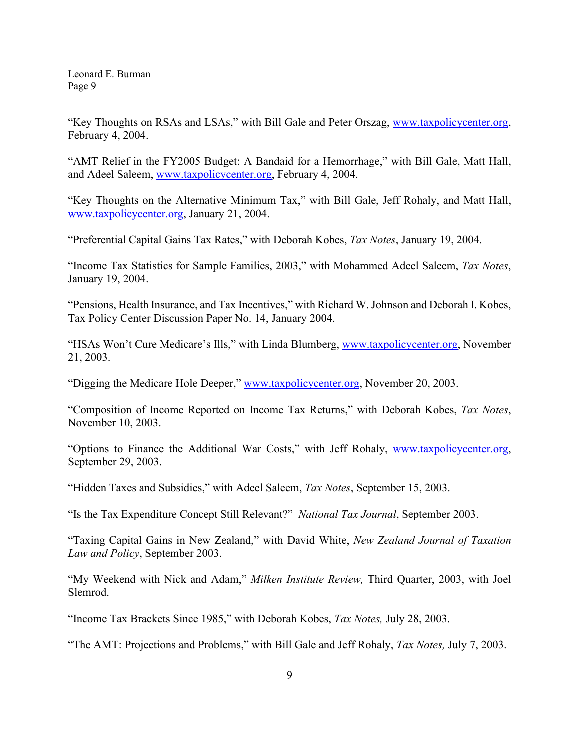"Key Thoughts on RSAs and LSAs," with Bill Gale and Peter Orszag, [www.taxpolicycenter.org,](http://www.taxpolicycenter.org/) February 4, 2004.

"AMT Relief in the FY2005 Budget: A Bandaid for a Hemorrhage," with Bill Gale, Matt Hall, and Adeel Saleem, [www.taxpolicycenter.org,](http://www.taxpolicycenter.org/) February 4, 2004.

"Key Thoughts on the Alternative Minimum Tax," with Bill Gale, Jeff Rohaly, and Matt Hall, [www.taxpolicycenter.org,](http://www.taxpolicycenter.org/) January 21, 2004.

"Preferential Capital Gains Tax Rates," with Deborah Kobes, *Tax Notes*, January 19, 2004.

"Income Tax Statistics for Sample Families, 2003," with Mohammed Adeel Saleem, *Tax Notes*, January 19, 2004.

"Pensions, Health Insurance, and Tax Incentives," with Richard W. Johnson and Deborah I. Kobes, Tax Policy Center Discussion Paper No. 14, January 2004.

"HSAs Won't Cure Medicare's Ills," with Linda Blumberg, [www.taxpolicycenter.org,](http://www.taxpolicycenter.org/) November 21, 2003.

"Digging the Medicare Hole Deeper," [www.taxpolicycenter.org,](http://www.taxpolicycenter.org/) November 20, 2003.

"Composition of Income Reported on Income Tax Returns," with Deborah Kobes, *Tax Notes*, November 10, 2003.

"Options to Finance the Additional War Costs," with Jeff Rohaly, [www.taxpolicycenter.org,](http://www.taxpolicycenter.org/) September 29, 2003.

"Hidden Taxes and Subsidies," with Adeel Saleem, *Tax Notes*, September 15, 2003.

"Is the Tax Expenditure Concept Still Relevant?" *National Tax Journal*, September 2003.

"Taxing Capital Gains in New Zealand," with David White, *New Zealand Journal of Taxation Law and Policy*, September 2003.

"My Weekend with Nick and Adam," *Milken Institute Review,* Third Quarter, 2003, with Joel Slemrod.

"Income Tax Brackets Since 1985," with Deborah Kobes, *Tax Notes,* July 28, 2003.

"The AMT: Projections and Problems," with Bill Gale and Jeff Rohaly, *Tax Notes,* July 7, 2003.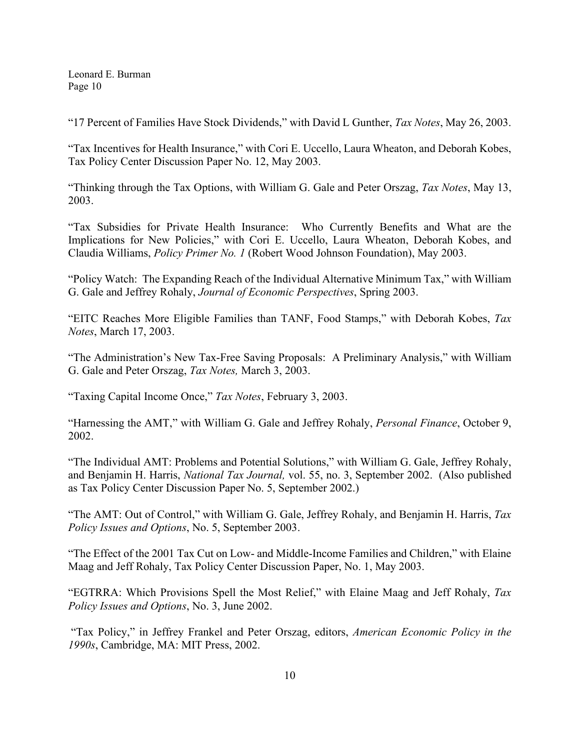"17 Percent of Families Have Stock Dividends," with David L Gunther, *Tax Notes*, May 26, 2003.

"Tax Incentives for Health Insurance," with Cori E. Uccello, Laura Wheaton, and Deborah Kobes, Tax Policy Center Discussion Paper No. 12, May 2003.

"Thinking through the Tax Options, with William G. Gale and Peter Orszag, *Tax Notes*, May 13, 2003.

"Tax Subsidies for Private Health Insurance: Who Currently Benefits and What are the Implications for New Policies," with Cori E. Uccello, Laura Wheaton, Deborah Kobes, and Claudia Williams, *Policy Primer No. 1* (Robert Wood Johnson Foundation), May 2003.

"Policy Watch: The Expanding Reach of the Individual Alternative Minimum Tax," with William G. Gale and Jeffrey Rohaly, *Journal of Economic Perspectives*, Spring 2003.

"EITC Reaches More Eligible Families than TANF, Food Stamps," with Deborah Kobes, *Tax Notes*, March 17, 2003.

"The Administration's New Tax-Free Saving Proposals: A Preliminary Analysis," with William G. Gale and Peter Orszag, *Tax Notes,* March 3, 2003.

"Taxing Capital Income Once," *Tax Notes*, February 3, 2003.

"Harnessing the AMT," with William G. Gale and Jeffrey Rohaly, *Personal Finance*, October 9, 2002.

"The Individual AMT: Problems and Potential Solutions," with William G. Gale, Jeffrey Rohaly, and Benjamin H. Harris, *National Tax Journal,* vol. 55, no. 3, September 2002. (Also published as Tax Policy Center Discussion Paper No. 5, September 2002.)

"The AMT: Out of Control," with William G. Gale, Jeffrey Rohaly, and Benjamin H. Harris, *Tax Policy Issues and Options*, No. 5, September 2003.

"The Effect of the 2001 Tax Cut on Low- and Middle-Income Families and Children," with Elaine Maag and Jeff Rohaly, Tax Policy Center Discussion Paper, No. 1, May 2003.

["EGTRRA: Which Provisions Spell the Most Relief,](http://www.urban.org/Template.cfm?Section=ByAuthor&NavMenuID=63&template=/TaggedContent/ViewPublication.cfm&PublicationID=7770)" with Elaine Maag and Jeff Rohaly, *Tax Policy Issues and Options*, No. 3, June 2002.

"Tax Policy," in Jeffrey Frankel and Peter Orszag, editors, *American Economic Policy in the 1990s*, Cambridge, MA: MIT Press, 2002.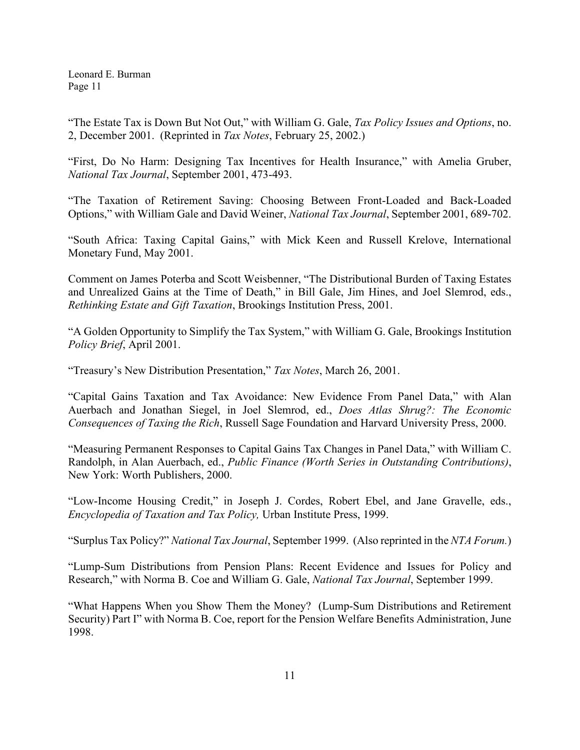"The Estate Tax is Down But Not Out," with William G. Gale, *Tax Policy Issues and Options*, no. 2, December 2001. (Reprinted in *Tax Notes*, February 25, 2002.)

"First, Do No Harm: Designing Tax Incentives for Health Insurance," with Amelia Gruber, *National Tax Journal*, September 2001, 473-493.

"The Taxation of Retirement Saving: Choosing Between Front-Loaded and Back-Loaded Options," with William Gale and David Weiner, *National Tax Journal*, September 2001, 689-702.

"South Africa: Taxing Capital Gains," with Mick Keen and Russell Krelove, International Monetary Fund, May 2001.

Comment on James Poterba and Scott Weisbenner, "The Distributional Burden of Taxing Estates and Unrealized Gains at the Time of Death," in Bill Gale, Jim Hines, and Joel Slemrod, eds., *Rethinking Estate and Gift Taxation*, Brookings Institution Press, 2001.

"A Golden Opportunity to Simplify the Tax System," with William G. Gale, Brookings Institution *Policy Brief*, April 2001.

"Treasury's New Distribution Presentation," *Tax Notes*, March 26, 2001.

"Capital Gains Taxation and Tax Avoidance: New Evidence From Panel Data," with Alan Auerbach and Jonathan Siegel, in Joel Slemrod, ed., *Does Atlas Shrug?: The Economic Consequences of Taxing the Rich*, Russell Sage Foundation and Harvard University Press, 2000.

"Measuring Permanent Responses to Capital Gains Tax Changes in Panel Data," with William C. Randolph, in Alan Auerbach, ed., *Public Finance (Worth Series in Outstanding Contributions)*, New York: Worth Publishers, 2000.

"Low-Income Housing Credit," in Joseph J. Cordes, Robert Ebel, and Jane Gravelle, eds., *Encyclopedia of Taxation and Tax Policy,* Urban Institute Press, 1999.

"Surplus Tax Policy?" *National Tax Journal*, September 1999. (Also reprinted in the *NTA Forum.*)

"Lump-Sum Distributions from Pension Plans: Recent Evidence and Issues for Policy and Research," with Norma B. Coe and William G. Gale, *National Tax Journal*, September 1999.

"What Happens When you Show Them the Money? (Lump-Sum Distributions and Retirement Security) Part I" with Norma B. Coe, report for the Pension Welfare Benefits Administration, June 1998.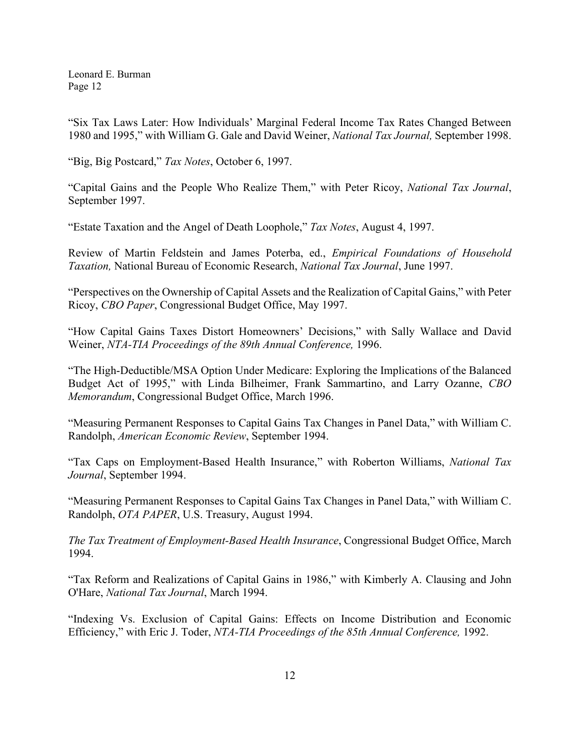"Six Tax Laws Later: How Individuals' Marginal Federal Income Tax Rates Changed Between 1980 and 1995," with William G. Gale and David Weiner, *National Tax Journal,* September 1998.

"Big, Big Postcard," *Tax Notes*, October 6, 1997.

"Capital Gains and the People Who Realize Them," with Peter Ricoy, *National Tax Journal*, September 1997.

"Estate Taxation and the Angel of Death Loophole," *Tax Notes*, August 4, 1997.

Review of Martin Feldstein and James Poterba, ed., *Empirical Foundations of Household Taxation,* National Bureau of Economic Research, *National Tax Journal*, June 1997.

"Perspectives on the Ownership of Capital Assets and the Realization of Capital Gains," with Peter Ricoy, *CBO Paper*, Congressional Budget Office, May 1997.

"How Capital Gains Taxes Distort Homeowners' Decisions," with Sally Wallace and David Weiner, *NTA-TIA Proceedings of the 89th Annual Conference,* 1996.

"The High-Deductible/MSA Option Under Medicare: Exploring the Implications of the Balanced Budget Act of 1995," with Linda Bilheimer, Frank Sammartino, and Larry Ozanne, *CBO Memorandum*, Congressional Budget Office, March 1996.

"Measuring Permanent Responses to Capital Gains Tax Changes in Panel Data," with William C. Randolph, *American Economic Review*, September 1994.

"Tax Caps on Employment-Based Health Insurance," with Roberton Williams, *National Tax Journal*, September 1994.

"Measuring Permanent Responses to Capital Gains Tax Changes in Panel Data," with William C. Randolph, *OTA PAPER*, U.S. Treasury, August 1994.

*The Tax Treatment of Employment-Based Health Insurance*, Congressional Budget Office, March 1994.

"Tax Reform and Realizations of Capital Gains in 1986," with Kimberly A. Clausing and John O'Hare, *National Tax Journal*, March 1994.

"Indexing Vs. Exclusion of Capital Gains: Effects on Income Distribution and Economic Efficiency," with Eric J. Toder, *NTA-TIA Proceedings of the 85th Annual Conference,* 1992.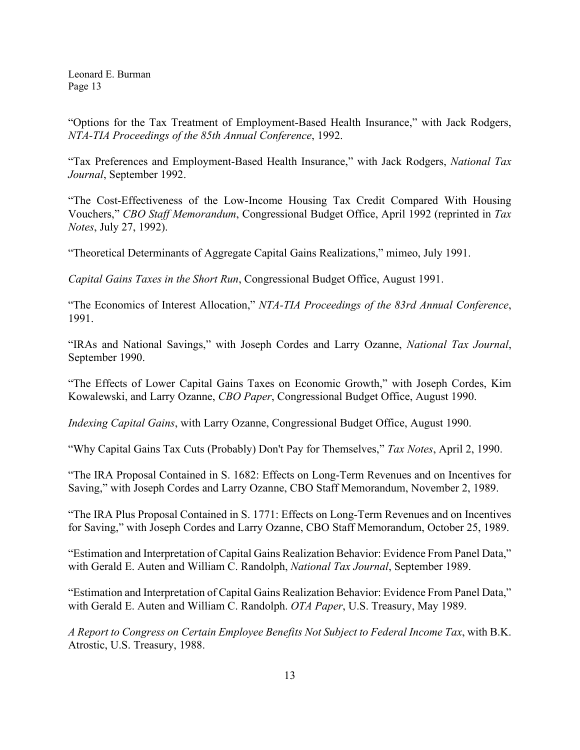"Options for the Tax Treatment of Employment-Based Health Insurance," with Jack Rodgers, *NTA-TIA Proceedings of the 85th Annual Conference*, 1992.

"Tax Preferences and Employment-Based Health Insurance," with Jack Rodgers, *National Tax Journal*, September 1992.

"The Cost-Effectiveness of the Low-Income Housing Tax Credit Compared With Housing Vouchers," *CBO Staff Memorandum*, Congressional Budget Office, April 1992 (reprinted in *Tax Notes*, July 27, 1992).

"Theoretical Determinants of Aggregate Capital Gains Realizations," mimeo, July 1991.

*Capital Gains Taxes in the Short Run*, Congressional Budget Office, August 1991.

"The Economics of Interest Allocation," *NTA-TIA Proceedings of the 83rd Annual Conference*, 1991.

"IRAs and National Savings," with Joseph Cordes and Larry Ozanne, *National Tax Journal*, September 1990.

"The Effects of Lower Capital Gains Taxes on Economic Growth," with Joseph Cordes, Kim Kowalewski, and Larry Ozanne, *CBO Paper*, Congressional Budget Office, August 1990.

*Indexing Capital Gains*, with Larry Ozanne, Congressional Budget Office, August 1990.

"Why Capital Gains Tax Cuts (Probably) Don't Pay for Themselves," *Tax Notes*, April 2, 1990.

"The IRA Proposal Contained in S. 1682: Effects on Long-Term Revenues and on Incentives for Saving," with Joseph Cordes and Larry Ozanne, CBO Staff Memorandum, November 2, 1989.

"The IRA Plus Proposal Contained in S. 1771: Effects on Long-Term Revenues and on Incentives for Saving," with Joseph Cordes and Larry Ozanne, CBO Staff Memorandum, October 25, 1989.

"Estimation and Interpretation of Capital Gains Realization Behavior: Evidence From Panel Data," with Gerald E. Auten and William C. Randolph, *National Tax Journal*, September 1989.

"Estimation and Interpretation of Capital Gains Realization Behavior: Evidence From Panel Data," with Gerald E. Auten and William C. Randolph. *OTA Paper*, U.S. Treasury, May 1989.

*A Report to Congress on Certain Employee Benefits Not Subject to Federal Income Tax*, with B.K. Atrostic, U.S. Treasury, 1988.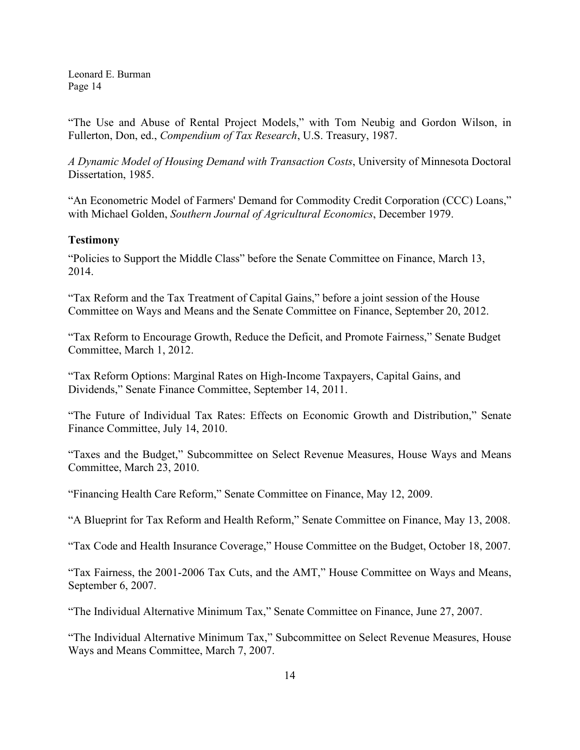"The Use and Abuse of Rental Project Models," with Tom Neubig and Gordon Wilson, in Fullerton, Don, ed., *Compendium of Tax Research*, U.S. Treasury, 1987.

*A Dynamic Model of Housing Demand with Transaction Costs*, University of Minnesota Doctoral Dissertation, 1985.

"An Econometric Model of Farmers' Demand for Commodity Credit Corporation (CCC) Loans," with Michael Golden, *Southern Journal of Agricultural Economics*, December 1979.

### **Testimony**

"Policies to Support the Middle Class" before the Senate Committee on Finance, March 13, 2014.

"Tax Reform and the Tax Treatment of Capital Gains," before a joint session of the House Committee on Ways and Means and the Senate Committee on Finance, September 20, 2012.

"Tax Reform to Encourage Growth, Reduce the Deficit, and Promote Fairness," Senate Budget Committee, March 1, 2012.

"Tax Reform Options: Marginal Rates on High-Income Taxpayers, Capital Gains, and Dividends," Senate Finance Committee, September 14, 2011.

"The Future of Individual Tax Rates: Effects on Economic Growth and Distribution," Senate Finance Committee, July 14, 2010.

"Taxes and the Budget," Subcommittee on Select Revenue Measures, House Ways and Means Committee, March 23, 2010.

"Financing Health Care Reform," Senate Committee on Finance, May 12, 2009.

"A Blueprint for Tax Reform and Health Reform," Senate Committee on Finance, May 13, 2008.

"Tax Code and Health Insurance Coverage," House Committee on the Budget, October 18, 2007.

"Tax Fairness, the 2001-2006 Tax Cuts, and the AMT," House Committee on Ways and Means, September 6, 2007.

"The Individual Alternative Minimum Tax," Senate Committee on Finance, June 27, 2007.

"The Individual Alternative Minimum Tax," Subcommittee on Select Revenue Measures, House Ways and Means Committee, March 7, 2007.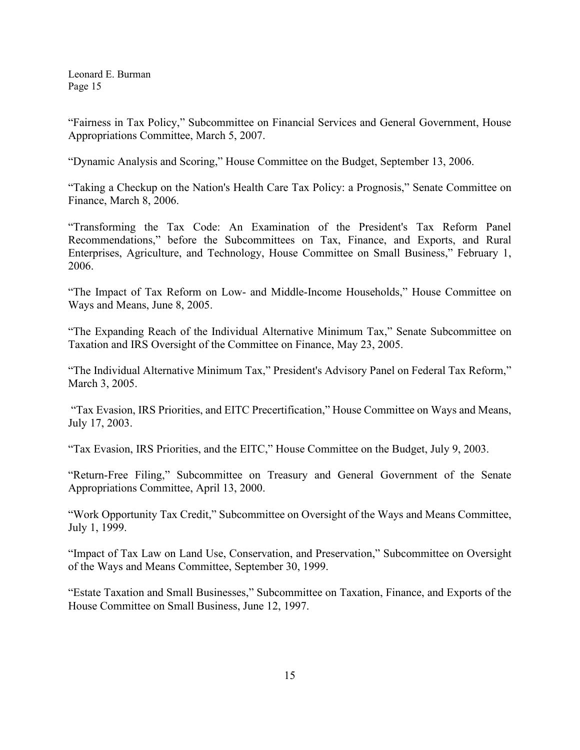"Fairness in Tax Policy," Subcommittee on Financial Services and General Government, House Appropriations Committee, March 5, 2007.

"Dynamic Analysis and Scoring," House Committee on the Budget, September 13, 2006.

"Taking a Checkup on the Nation's Health Care Tax Policy: a Prognosis," Senate Committee on Finance, March 8, 2006.

"Transforming the Tax Code: An Examination of the President's Tax Reform Panel Recommendations," before the Subcommittees on Tax, Finance, and Exports, and Rural Enterprises, Agriculture, and Technology, House Committee on Small Business," February 1, 2006.

"The Impact of Tax Reform on Low- and Middle-Income Households," House Committee on Ways and Means, June 8, 2005.

"The Expanding Reach of the Individual Alternative Minimum Tax," Senate Subcommittee on Taxation and IRS Oversight of the Committee on Finance, May 23, 2005.

"The Individual Alternative Minimum Tax," President's Advisory Panel on Federal Tax Reform," March 3, 2005.

"Tax Evasion, IRS Priorities, and EITC Precertification," House Committee on Ways and Means, July 17, 2003.

"Tax Evasion, IRS Priorities, and the EITC," House Committee on the Budget, July 9, 2003.

"Return-Free Filing," Subcommittee on Treasury and General Government of the Senate Appropriations Committee, April 13, 2000.

"Work Opportunity Tax Credit," Subcommittee on Oversight of the Ways and Means Committee, July 1, 1999.

"Impact of Tax Law on Land Use, Conservation, and Preservation," Subcommittee on Oversight of the Ways and Means Committee, September 30, 1999.

"Estate Taxation and Small Businesses," Subcommittee on Taxation, Finance, and Exports of the House Committee on Small Business, June 12, 1997.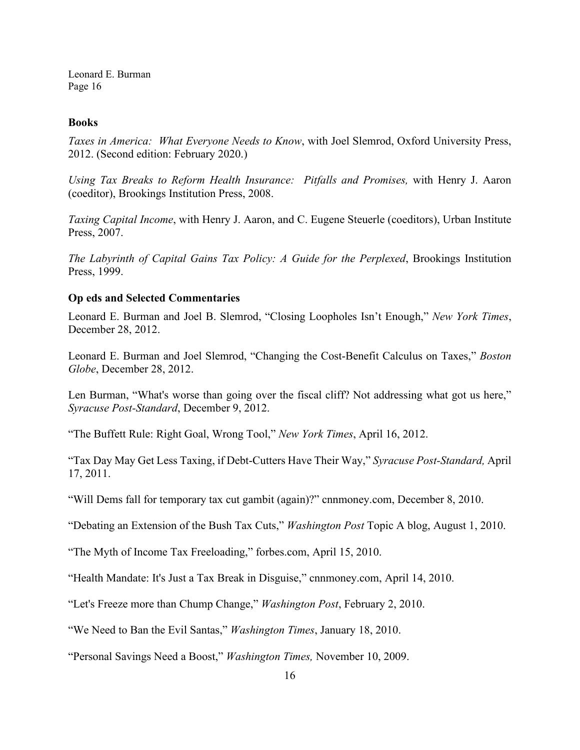#### **Books**

*Taxes in America: What Everyone Needs to Know*, with Joel Slemrod, Oxford University Press, 2012. (Second edition: February 2020.)

*Using Tax Breaks to Reform Health Insurance: Pitfalls and Promises,* with Henry J. Aaron (coeditor), Brookings Institution Press, 2008.

*Taxing Capital Income*, with Henry J. Aaron, and C. Eugene Steuerle (coeditors), Urban Institute Press, 2007.

*The Labyrinth of Capital Gains Tax Policy: A Guide for the Perplexed*, Brookings Institution Press, 1999.

### **Op eds and Selected Commentaries**

Leonard E. Burman and Joel B. Slemrod, "Closing Loopholes Isn't Enough," *New York Times*, December 28, 2012.

Leonard E. Burman and Joel Slemrod, "Changing the Cost-Benefit Calculus on Taxes," *Boston Globe*, December 28, 2012.

Len Burman, "What's worse than going over the fiscal cliff? Not addressing what got us here," *Syracuse Post-Standard*, December 9, 2012.

"The Buffett Rule: Right Goal, Wrong Tool," *New York Times*, April 16, 2012.

"Tax Day May Get Less Taxing, if Debt-Cutters Have Their Way," *Syracuse Post-Standard,* April 17, 2011.

"Will Dems fall for temporary tax cut gambit (again)?" cnnmoney.com, December 8, 2010.

"Debating an Extension of the Bush Tax Cuts," *Washington Post* Topic A blog, August 1, 2010.

"The Myth of Income Tax Freeloading," forbes.com, April 15, 2010.

"Health Mandate: It's Just a Tax Break in Disguise," cnnmoney.com, April 14, 2010.

"Let's Freeze more than Chump Change," *Washington Post*, February 2, 2010.

"We Need to Ban the Evil Santas," *Washington Times*, January 18, 2010.

"Personal Savings Need a Boost," *Washington Times,* November 10, 2009.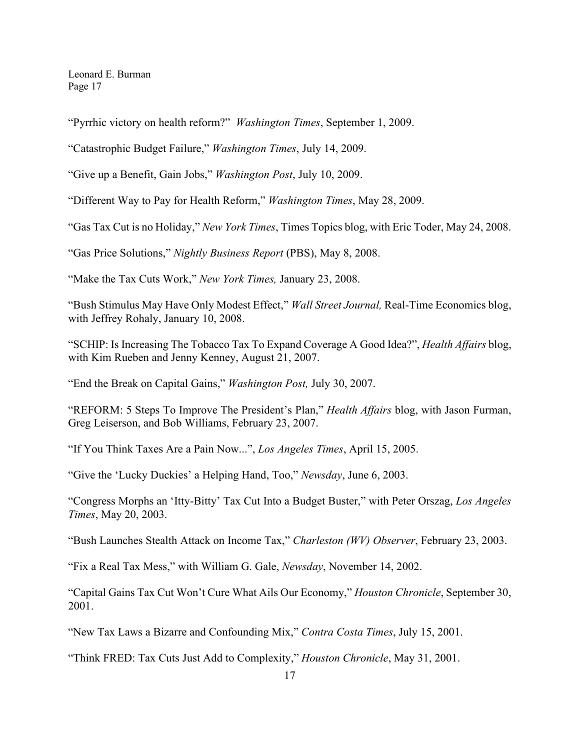"Pyrrhic victory on health reform?" *Washington Times*, September 1, 2009.

"Catastrophic Budget Failure," *Washington Times*, July 14, 2009.

"Give up a Benefit, Gain Jobs," *Washington Post*, July 10, 2009.

"Different Way to Pay for Health Reform," *Washington Times*, May 28, 2009.

"Gas Tax Cut is no Holiday," *New York Times*, Times Topics blog, with Eric Toder, May 24, 2008.

"Gas Price Solutions," *Nightly Business Report* (PBS), May 8, 2008.

"Make the Tax Cuts Work," *New York Times,* January 23, 2008.

"Bush Stimulus May Have Only Modest Effect," *Wall Street Journal,* Real-Time Economics blog, with Jeffrey Rohaly, January 10, 2008.

"SCHIP: Is Increasing The Tobacco Tax To Expand Coverage A Good Idea?", *Health Affairs* blog, with Kim Rueben and Jenny Kenney, August 21, 2007.

"End the Break on Capital Gains," *Washington Post,* July 30, 2007.

"REFORM: 5 Steps To Improve The President's Plan," *Health Affairs* blog, with Jason Furman, Greg Leiserson, and Bob Williams, February 23, 2007.

"If You Think Taxes Are a Pain Now...", *Los Angeles Times*, April 15, 2005.

"Give the 'Lucky Duckies' a Helping Hand, Too," *Newsday*, June 6, 2003.

"Congress Morphs an 'Itty-Bitty' Tax Cut Into a Budget Buster," with Peter Orszag, *Los Angeles Times*, May 20, 2003.

"Bush Launches Stealth Attack on Income Tax," *Charleston (WV) Observer*, February 23, 2003.

"Fix a Real Tax Mess," with William G. Gale, *Newsday*, November 14, 2002.

"Capital Gains Tax Cut Won't Cure What Ails Our Economy," *Houston Chronicle*, September 30, 2001.

"New Tax Laws a Bizarre and Confounding Mix," *Contra Costa Times*, July 15, 2001.

"Think FRED: Tax Cuts Just Add to Complexity," *Houston Chronicle*, May 31, 2001.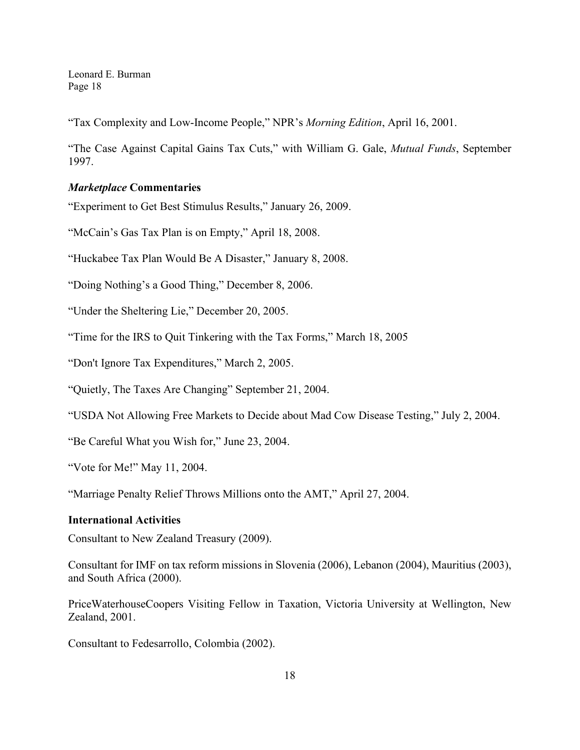"Tax Complexity and Low-Income People," NPR's *Morning Edition*, April 16, 2001.

"The Case Against Capital Gains Tax Cuts," with William G. Gale, *Mutual Funds*, September 1997.

### *Marketplace* **Commentaries**

"Experiment to Get Best Stimulus Results," January 26, 2009.

"McCain's Gas Tax Plan is on Empty," April 18, 2008.

"Huckabee Tax Plan Would Be A Disaster," January 8, 2008.

"Doing Nothing's a Good Thing," December 8, 2006.

"Under the Sheltering Lie," December 20, 2005.

"Time for the IRS to Quit Tinkering with the Tax Forms," March 18, 2005

"Don't Ignore Tax Expenditures," March 2, 2005.

"Quietly, The Taxes Are Changing" September 21, 2004.

"USDA Not Allowing Free Markets to Decide about Mad Cow Disease Testing," July 2, 2004.

"Be Careful What you Wish for," June 23, 2004.

"Vote for Me!" May 11, 2004.

"Marriage Penalty Relief Throws Millions onto the AMT," April 27, 2004.

#### **International Activities**

Consultant to New Zealand Treasury (2009).

Consultant for IMF on tax reform missions in Slovenia (2006), Lebanon (2004), Mauritius (2003), and South Africa (2000).

PriceWaterhouseCoopers Visiting Fellow in Taxation, Victoria University at Wellington, New Zealand, 2001.

Consultant to Fedesarrollo, Colombia (2002).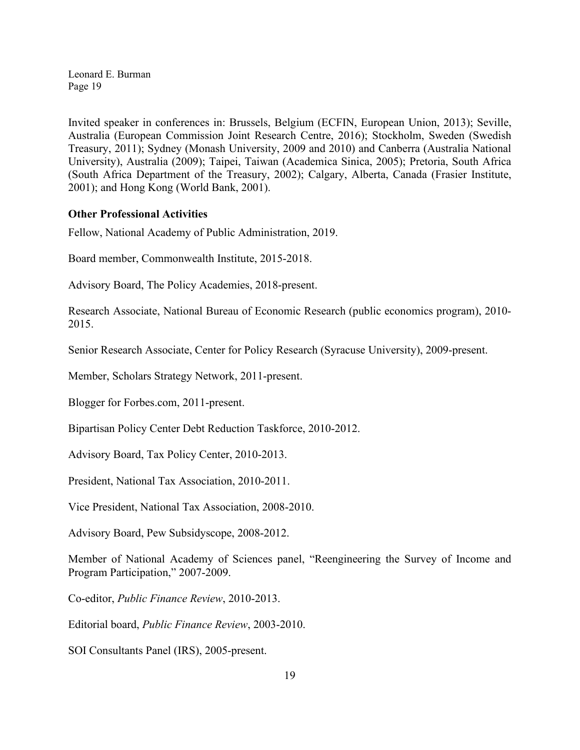Invited speaker in conferences in: Brussels, Belgium (ECFIN, European Union, 2013); Seville, Australia (European Commission Joint Research Centre, 2016); Stockholm, Sweden (Swedish Treasury, 2011); Sydney (Monash University, 2009 and 2010) and Canberra (Australia National University), Australia (2009); Taipei, Taiwan (Academica Sinica, 2005); Pretoria, South Africa (South Africa Department of the Treasury, 2002); Calgary, Alberta, Canada (Frasier Institute, 2001); and Hong Kong (World Bank, 2001).

### **Other Professional Activities**

Fellow, National Academy of Public Administration, 2019.

Board member, Commonwealth Institute, 2015-2018.

Advisory Board, The Policy Academies, 2018-present.

Research Associate, National Bureau of Economic Research (public economics program), 2010- 2015.

Senior Research Associate, Center for Policy Research (Syracuse University), 2009-present.

Member, Scholars Strategy Network, 2011-present.

Blogger for Forbes.com, 2011-present.

Bipartisan Policy Center Debt Reduction Taskforce, 2010-2012.

Advisory Board, Tax Policy Center, 2010-2013.

President, National Tax Association, 2010-2011.

Vice President, National Tax Association, 2008-2010.

Advisory Board, Pew Subsidyscope, 2008-2012.

Member of National Academy of Sciences panel, "Reengineering the Survey of Income and Program Participation," 2007-2009.

Co-editor, *Public Finance Review*, 2010-2013.

Editorial board, *Public Finance Review*, 2003-2010.

SOI Consultants Panel (IRS), 2005-present.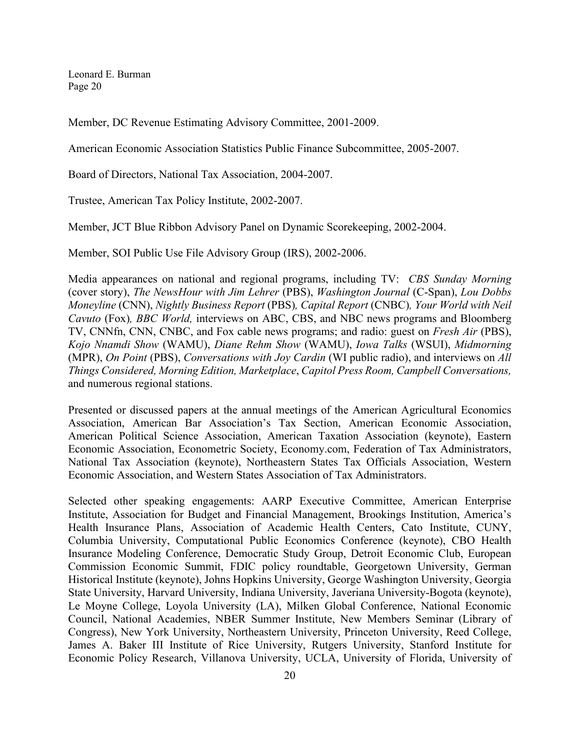Member, DC Revenue Estimating Advisory Committee, 2001-2009.

American Economic Association Statistics Public Finance Subcommittee, 2005-2007.

Board of Directors, National Tax Association, 2004-2007.

Trustee, American Tax Policy Institute, 2002-2007.

Member, JCT Blue Ribbon Advisory Panel on Dynamic Scorekeeping, 2002-2004.

Member, SOI Public Use File Advisory Group (IRS), 2002-2006.

Media appearances on national and regional programs, including TV: *CBS Sunday Morning*  (cover story), *The NewsHour with Jim Lehrer* (PBS), *Washington Journal* (C-Span), *Lou Dobbs Moneyline* (CNN), *Nightly Business Report* (PBS)*, Capital Report* (CNBC)*, Your World with Neil Cavuto* (Fox)*, BBC World,* interviews on ABC, CBS, and NBC news programs and Bloomberg TV, CNNfn, CNN, CNBC, and Fox cable news programs; and radio: guest on *Fresh Air* (PBS), *Kojo Nnamdi Show* (WAMU), *Diane Rehm Show* (WAMU), *Iowa Talks* (WSUI), *Midmorning* (MPR), *On Point* (PBS), *Conversations with Joy Cardin* (WI public radio), and interviews on *All Things Considered, Morning Edition, Marketplace*, *Capitol Press Room, Campbell Conversations,* and numerous regional stations.

Presented or discussed papers at the annual meetings of the American Agricultural Economics Association, American Bar Association's Tax Section, American Economic Association, American Political Science Association, American Taxation Association (keynote), Eastern Economic Association, Econometric Society, Economy.com, Federation of Tax Administrators, National Tax Association (keynote), Northeastern States Tax Officials Association, Western Economic Association, and Western States Association of Tax Administrators.

Selected other speaking engagements: AARP Executive Committee, American Enterprise Institute, Association for Budget and Financial Management, Brookings Institution, America's Health Insurance Plans, Association of Academic Health Centers, Cato Institute, CUNY, Columbia University, Computational Public Economics Conference (keynote), CBO Health Insurance Modeling Conference, Democratic Study Group, Detroit Economic Club, European Commission Economic Summit, FDIC policy roundtable, Georgetown University, German Historical Institute (keynote), Johns Hopkins University, George Washington University, Georgia State University, Harvard University, Indiana University, Javeriana University-Bogota (keynote), Le Moyne College, Loyola University (LA), Milken Global Conference, National Economic Council, National Academies, NBER Summer Institute, New Members Seminar (Library of Congress), New York University, Northeastern University, Princeton University, Reed College, James A. Baker III Institute of Rice University, Rutgers University, Stanford Institute for Economic Policy Research, Villanova University, UCLA, University of Florida, University of